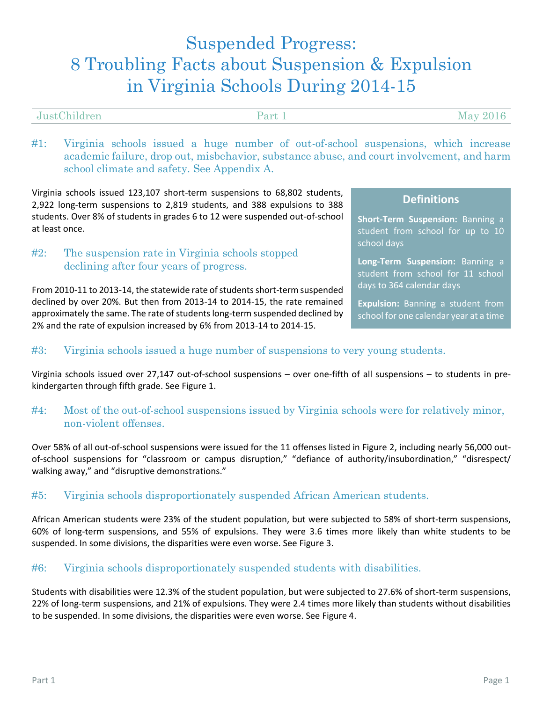# Suspended Progress: 8 Troubling Facts about Suspension & Expulsion in Virginia Schools During 2014-15

| JustChildren | $\mathbf{Part}$ 1<br>- | May $201'$ |
|--------------|------------------------|------------|
|              |                        |            |

#1: Virginia schools issued a huge number of out-of-school suspensions, which increase academic failure, drop out, misbehavior, substance abuse, and court involvement, and harm school climate and safety. See Appendix A.

Virginia schools issued 123,107 short-term suspensions to 68,802 students, 2,922 long-term suspensions to 2,819 students, and 388 expulsions to 388 students. Over 8% of students in grades 6 to 12 were suspended out-of-school at least once.

# #2: The suspension rate in Virginia schools stopped declining after four years of progress.

From 2010-11 to 2013-14, the statewide rate of students short-term suspended declined by over 20%. But then from 2013-14 to 2014-15, the rate remained approximately the same. The rate of students long-term suspended declined by 2% and the rate of expulsion increased by 6% from 2013-14 to 2014-15.

# **Definitions**

**Short-Term Suspension:** Banning a student from school for up to 10 school days

**Long-Term Suspension:** Banning a student from school for 11 school days to 364 calendar days

**Expulsion:** Banning a student from school for one calendar year at a time

# #3: Virginia schools issued a huge number of suspensions to very young students.

Virginia schools issued over 27,147 out-of-school suspensions – over one-fifth of all suspensions – to students in prekindergarten through fifth grade. See Figure 1.

# #4: Most of the out-of-school suspensions issued by Virginia schools were for relatively minor, non-violent offenses.

Over 58% of all out-of-school suspensions were issued for the 11 offenses listed in Figure 2, including nearly 56,000 outof-school suspensions for "classroom or campus disruption," "defiance of authority/insubordination," "disrespect/ walking away," and "disruptive demonstrations."

# #5: Virginia schools disproportionately suspended African American students.

African American students were 23% of the student population, but were subjected to 58% of short-term suspensions, 60% of long-term suspensions, and 55% of expulsions. They were 3.6 times more likely than white students to be suspended. In some divisions, the disparities were even worse. See Figure 3.

# #6: Virginia schools disproportionately suspended students with disabilities.

Students with disabilities were 12.3% of the student population, but were subjected to 27.6% of short-term suspensions, 22% of long-term suspensions, and 21% of expulsions. They were 2.4 times more likely than students without disabilities to be suspended. In some divisions, the disparities were even worse. See Figure 4.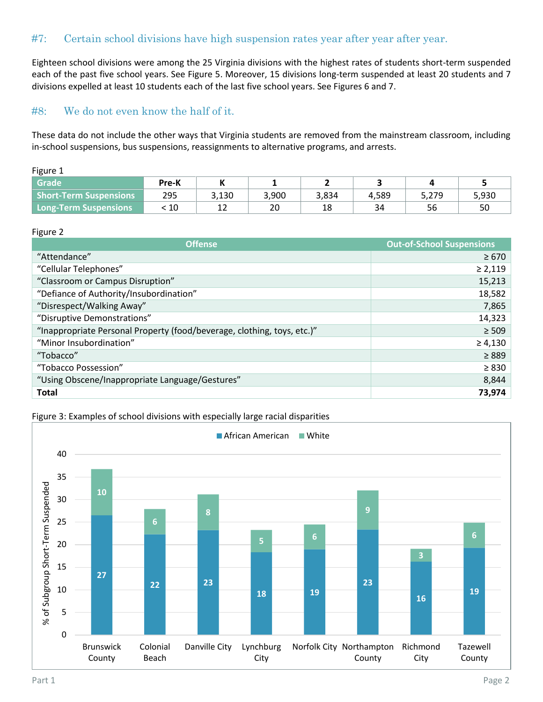# #7: Certain school divisions have high suspension rates year after year after year.

Eighteen school divisions were among the 25 Virginia divisions with the highest rates of students short-term suspended each of the past five school years. See Figure 5. Moreover, 15 divisions long-term suspended at least 20 students and 7 divisions expelled at least 10 students each of the last five school years. See Figures 6 and 7.

# #8: We do not even know the half of it.

These data do not include the other ways that Virginia students are removed from the mainstream classroom, including in-school suspensions, bus suspensions, reassignments to alternative programs, and arrests.

| r<br>''<br>ο |
|--------------|
|--------------|

| <b>Grade</b>                  | Pre-K |       |       |       |       |       |       |
|-------------------------------|-------|-------|-------|-------|-------|-------|-------|
| <b>Short-Term Suspensions</b> | 295   | 3,130 | 3,900 | 3,834 | 4,589 | 5,279 | 5,930 |
| <b>Long-Term Suspensions</b>  | 10    | ∸∸    | 20    | 18    | 34    | 56    | 50    |

#### Figure 2

| <b>Offense</b>                                                          | <b>Out-of-School Suspensions</b> |
|-------------------------------------------------------------------------|----------------------------------|
| "Attendance"                                                            | $\geq 670$                       |
| "Cellular Telephones"                                                   | $\geq 2,119$                     |
| "Classroom or Campus Disruption"                                        | 15,213                           |
| "Defiance of Authority/Insubordination"                                 | 18,582                           |
| "Disrespect/Walking Away"                                               | 7,865                            |
| "Disruptive Demonstrations"                                             | 14,323                           |
| "Inappropriate Personal Property (food/beverage, clothing, toys, etc.)" | $\geq 509$                       |
| "Minor Insubordination"                                                 | $\geq 4,130$                     |
| "Tobacco"                                                               | $\geq 889$                       |
| "Tobacco Possession"                                                    | $\geq 830$                       |
| "Using Obscene/Inappropriate Language/Gestures"                         | 8,844                            |
| <b>Total</b>                                                            | 73,974                           |



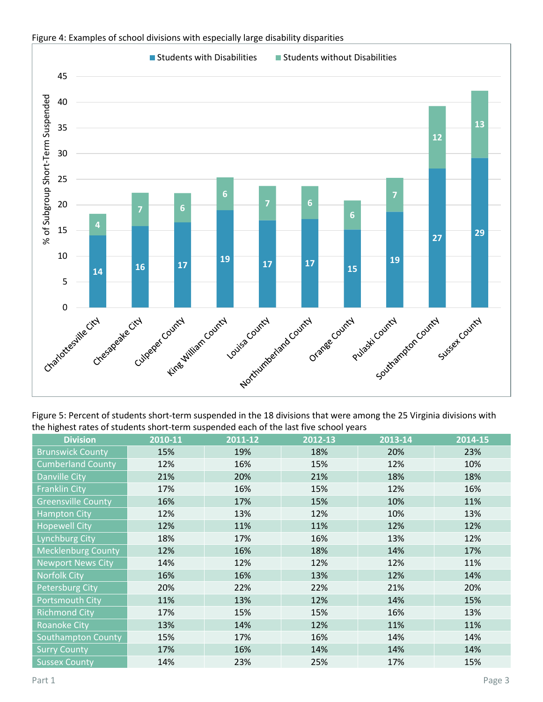

#### Figure 4: Examples of school divisions with especially large disability disparities

Figure 5: Percent of students short-term suspended in the 18 divisions that were among the 25 Virginia divisions with the highest rates of students short-term suspended each of the last five school years

| <b>Division</b>           | 2010-11 | 2011-12 | 2012-13 | 2013-14 | 2014-15 |
|---------------------------|---------|---------|---------|---------|---------|
| <b>Brunswick County</b>   | 15%     | 19%     | 18%     | 20%     | 23%     |
| <b>Cumberland County</b>  | 12%     | 16%     | 15%     | 12%     | 10%     |
| <b>Danville City</b>      | 21%     | 20%     | 21%     | 18%     | 18%     |
| <b>Franklin City</b>      | 17%     | 16%     | 15%     | 12%     | 16%     |
| <b>Greensville County</b> | 16%     | 17%     | 15%     | 10%     | 11%     |
| <b>Hampton City</b>       | 12%     | 13%     | 12%     | 10%     | 13%     |
| <b>Hopewell City</b>      | 12%     | 11%     | 11%     | 12%     | 12%     |
| <b>Lynchburg City</b>     | 18%     | 17%     | 16%     | 13%     | 12%     |
| <b>Mecklenburg County</b> | 12%     | 16%     | 18%     | 14%     | 17%     |
| <b>Newport News City</b>  | 14%     | 12%     | 12%     | 12%     | 11%     |
| <b>Norfolk City</b>       | 16%     | 16%     | 13%     | 12%     | 14%     |
| <b>Petersburg City</b>    | 20%     | 22%     | 22%     | 21%     | 20%     |
| Portsmouth City           | 11%     | 13%     | 12%     | 14%     | 15%     |
| <b>Richmond City</b>      | 17%     | 15%     | 15%     | 16%     | 13%     |
| <b>Roanoke City</b>       | 13%     | 14%     | 12%     | 11%     | 11%     |
| <b>Southampton County</b> | 15%     | 17%     | 16%     | 14%     | 14%     |
| <b>Surry County</b>       | 17%     | 16%     | 14%     | 14%     | 14%     |
| <b>Sussex County</b>      | 14%     | 23%     | 25%     | 17%     | 15%     |